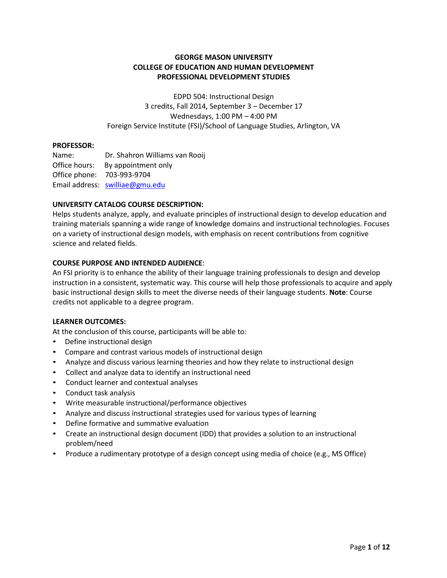## **GEORGE MASON UNIVERSITY COLLEGE OF EDUCATION AND HUMAN DEVELOPMENT PROFESSIONAL DEVELOPMENT STUDIES**

EDPD 504: Instructional Design 3 credits, Fall 2014, September 3 – December 17 Wednesdays, 1:00 PM – 4:00 PM Foreign Service Institute (FSI)/School of Language Studies, Arlington, VA

#### **PROFESSOR:**

Name: Dr. Shahron Williams van Rooij Office hours: By appointment only Office phone: 703-993-9704 Email address: [swilliae@gmu.edu](mailto:swilliae@gmu.edu)

#### **UNIVERSITY CATALOG COURSE DESCRIPTION:**

Helps students analyze, apply, and evaluate principles of instructional design to develop education and training materials spanning a wide range of knowledge domains and instructional technologies. Focuses on a variety of instructional design models, with emphasis on recent contributions from cognitive science and related fields.

#### **COURSE PURPOSE AND INTENDED AUDIENCE**:

An FSI priority is to enhance the ability of their language training professionals to design and develop instruction in a consistent, systematic way. This course will help those professionals to acquire and apply basic instructional design skills to meet the diverse needs of their language students. **Note**: Course credits not applicable to a degree program.

#### **LEARNER OUTCOMES:**

At the conclusion of this course, participants will be able to:

- Define instructional design
- Compare and contrast various models of instructional design
- Analyze and discuss various learning theories and how they relate to instructional design
- Collect and analyze data to identify an instructional need
- Conduct learner and contextual analyses
- Conduct task analysis
- Write measurable instructional/performance objectives
- Analyze and discuss instructional strategies used for various types of learning
- Define formative and summative evaluation
- Create an instructional design document (IDD) that provides a solution to an instructional problem/need
- Produce a rudimentary prototype of a design concept using media of choice (e.g., MS Office)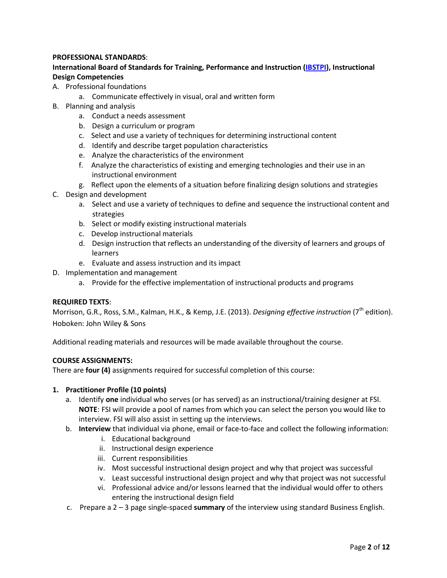## **PROFESSIONAL STANDARDS**:

## **International Board of Standards for Training, Performance and Instruction [\(IBSTPI\)](http://ibstpi.org/downloads/InstructionalDesignCompetencies.pdf), Instructional Design Competencies**

- A. Professional foundations
	- a. Communicate effectively in visual, oral and written form
- B. Planning and analysis
	- a. Conduct a needs assessment
	- b. Design a curriculum or program
	- c. Select and use a variety of techniques for determining instructional content
	- d. Identify and describe target population characteristics
	- e. Analyze the characteristics of the environment
	- f. Analyze the characteristics of existing and emerging technologies and their use in an instructional environment
	- g. Reflect upon the elements of a situation before finalizing design solutions and strategies
- C. Design and development
	- a. Select and use a variety of techniques to define and sequence the instructional content and strategies
	- b. Select or modify existing instructional materials
	- c. Develop instructional materials
	- d. Design instruction that reflects an understanding of the diversity of learners and groups of learners
	- e. Evaluate and assess instruction and its impact
- D. Implementation and management
	- a. Provide for the effective implementation of instructional products and programs

## **REQUIRED TEXTS**:

Morrison, G.R., Ross, S.M., Kalman, H.K., & Kemp, J.E. (2013). *Designing effective instruction* (7th edition). Hoboken: John Wiley & Sons

Additional reading materials and resources will be made available throughout the course.

## **COURSE ASSIGNMENTS:**

There are **four (4)** assignments required for successful completion of this course:

## **1. Practitioner Profile (10 points)**

- a. Identify **one** individual who serves (or has served) as an instructional/training designer at FSI. **NOTE**: FSI will provide a pool of names from which you can select the person you would like to interview. FSI will also assist in setting up the interviews.
- b. **Interview** that individual via phone, email or face-to-face and collect the following information:
	- i. Educational background
	- ii. Instructional design experience
	- iii. Current responsibilities
	- iv. Most successful instructional design project and why that project was successful
	- v. Least successful instructional design project and why that project was not successful
	- vi. Professional advice and/or lessons learned that the individual would offer to others entering the instructional design field
- c. Prepare a 2 3 page single-spaced **summary** of the interview using standard Business English.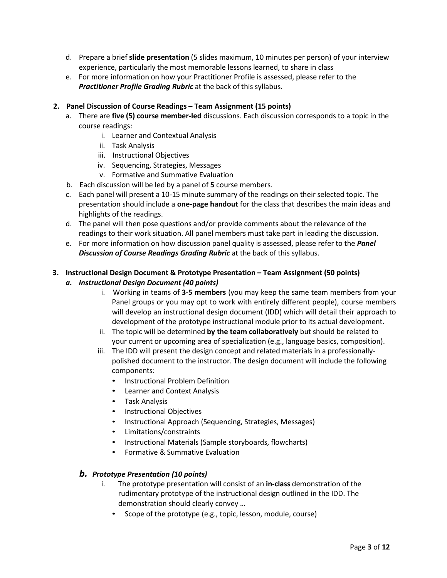- d. Prepare a brief **slide presentation** (5 slides maximum, 10 minutes per person) of your interview experience, particularly the most memorable lessons learned, to share in class
- e. For more information on how your Practitioner Profile is assessed, please refer to the *Practitioner Profile Grading Rubric* at the back of this syllabus.

## **2. Panel Discussion of Course Readings – Team Assignment (15 points)**

- a. There are **five (5) course member-led** discussions. Each discussion corresponds to a topic in the course readings:
	- i. Learner and Contextual Analysis
	- ii. Task Analysis
	- iii. Instructional Objectives
	- iv. Sequencing, Strategies, Messages
	- v. Formative and Summative Evaluation
- b. Each discussion will be led by a panel of **5** course members.
- c. Each panel will present a 10-15 minute summary of the readings on their selected topic. The presentation should include a **one-page handout** for the class that describes the main ideas and highlights of the readings.
- d. The panel will then pose questions and/or provide comments about the relevance of the readings to their work situation. All panel members must take part in leading the discussion.
- e. For more information on how discussion panel quality is assessed, please refer to the *Panel Discussion of Course Readings Grading Rubric* at the back of this syllabus.

## **3. Instructional Design Document & Prototype Presentation – Team Assignment (50 points)**

## *a. Instructional Design Document (40 points)*

- i. Working in teams of **3-5 members** (you may keep the same team members from your Panel groups or you may opt to work with entirely different people), course members will develop an instructional design document (IDD) which will detail their approach to development of the prototype instructional module prior to its actual development.
- ii. The topic will be determined **by the team collaboratively** but should be related to your current or upcoming area of specialization (e.g., language basics, composition).
- iii. The IDD will present the design concept and related materials in a professionallypolished document to the instructor. The design document will include the following components:
	- Instructional Problem Definition
	- Learner and Context Analysis
	- Task Analysis
	- Instructional Objectives
	- Instructional Approach (Sequencing, Strategies, Messages)
	- Limitations/constraints
	- Instructional Materials (Sample storyboards, flowcharts)
	- Formative & Summative Evaluation

## *b. Prototype Presentation (10 points)*

- i. The prototype presentation will consist of an **in-class** demonstration of the rudimentary prototype of the instructional design outlined in the IDD. The demonstration should clearly convey …
	- Scope of the prototype (e.g., topic, lesson, module, course)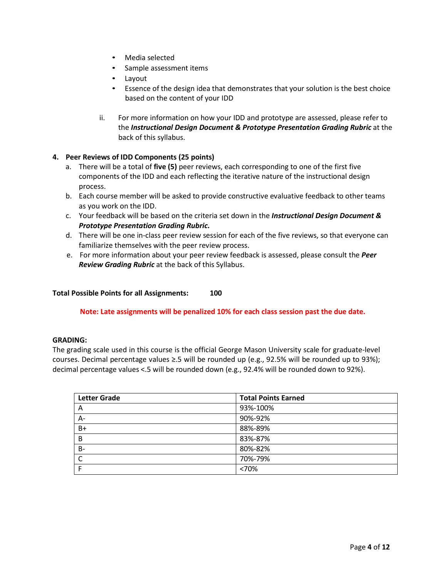- Media selected
- Sample assessment items
- Layout
- Essence of the design idea that demonstrates that your solution is the best choice based on the content of your IDD
- ii. For more information on how your IDD and prototype are assessed, please refer to the *Instructional Design Document & Prototype Presentation Grading Rubric* at the back of this syllabus.

## **4. Peer Reviews of IDD Components (25 points)**

- a. There will be a total of **five (5)** peer reviews, each corresponding to one of the first five components of the IDD and each reflecting the iterative nature of the instructional design process.
- b. Each course member will be asked to provide constructive evaluative feedback to other teams as you work on the IDD.
- c. Your feedback will be based on the criteria set down in the *Instructional Design Document & Prototype Presentation Grading Rubric***.**
- d. There will be one in-class peer review session for each of the five reviews, so that everyone can familiarize themselves with the peer review process.
- e. For more information about your peer review feedback is assessed, please consult the *Peer Review Grading Rubric* at the back of this Syllabus.

## **Total Possible Points for all Assignments: 100**

## **Note: Late assignments will be penalized 10% for each class session past the due date.**

#### **GRADING:**

The grading scale used in this course is the official George Mason University scale for graduate-level courses. Decimal percentage values ≥.5 will be rounded up (e.g., 92.5% will be rounded up to 93%); decimal percentage values <.5 will be rounded down (e.g., 92.4% will be rounded down to 92%).

| <b>Letter Grade</b> | <b>Total Points Earned</b> |
|---------------------|----------------------------|
| A                   | 93%-100%                   |
| A-                  | 90%-92%                    |
| $B+$                | 88%-89%                    |
| B                   | 83%-87%                    |
| <b>B-</b>           | 80%-82%                    |
| C                   | 70%-79%                    |
|                     | <70%                       |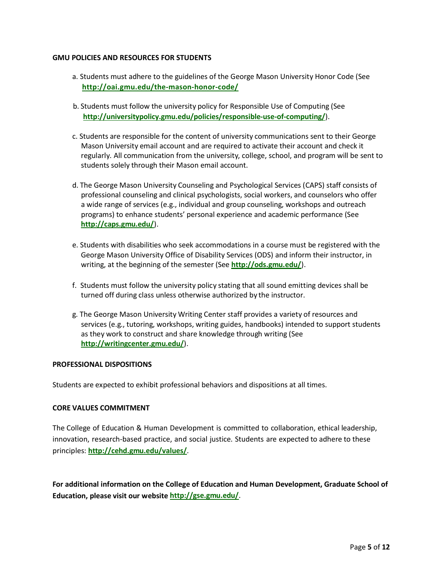#### **GMU POLICIES AND RESOURCES FOR STUDENTS**

- a. Students must adhere to the guidelines of the George Mason University Honor Code (See **<http://oai.gmu.edu/the-mason-honor-code/>**
- b. Students must follow the university policy for Responsible Use of Computing (See **[http://universitypolicy.gmu.edu/policies/responsible-use-of-computing/](http://universitypolicy.gmu.edu/policies/responsible-use-of-computing/))**).
- c. Students are responsible for the content of university communications sent to their George Mason University email account and are required to activate their account and check it regularly. All communication from the university, college, school, and program will be sent to students solely through their Mason email account.
- d. The George Mason University Counseling and Psychological Services (CAPS) staff consists of professional counseling and clinical psychologists, social workers, and counselors who offer a wide range of services (e.g., individual and group counseling, workshops and outreach programs) to enhance students' personal experience and academic performance (See **<http://caps.gmu.edu/>**).
- e. Students with disabilities who seek accommodations in a course must be registered with the George Mason University Office of Disability Services (ODS) and inform their instructor, in writing, at the beginning of the semester (See **<http://ods.gmu.edu/>**).
- f. Students must follow the university policy stating that all sound emitting devices shall be turned off during class unless otherwise authorized by the instructor.
- g. The George Mason University Writing Center staff provides a variety of resources and services (e.g., tutoring, workshops, writing guides, handbooks) intended to support students as they work to construct and share knowledge through writing (See **<http://writingcenter.gmu.edu/>**).

#### **PROFESSIONAL DISPOSITIONS**

Students are expected to exhibit professional behaviors and dispositions at all times.

## **CORE VALUES COMMITMENT**

The College of Education & Human Development is committed to collaboration, ethical leadership, innovation, research-based practice, and social justice. Students are expected to adhere to these principles: **<http://cehd.gmu.edu/values/>**.

**For additional information on the College of Education and Human Development, Graduate School of Education, please visit our websit[e http://gse.gmu.edu/](http://gse.gmu.edu/)**.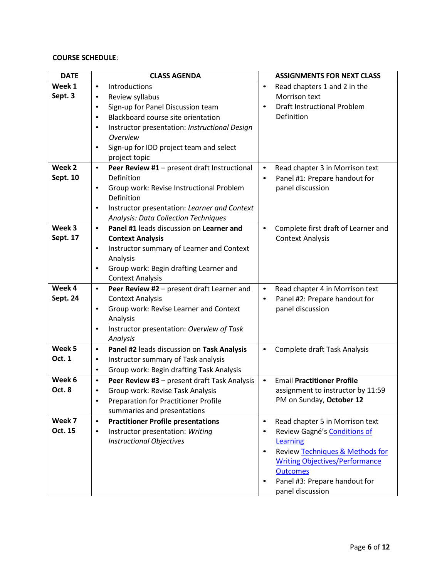## **COURSE SCHEDULE**:

| <b>DATE</b>         |           | <b>CLASS AGENDA</b>                                               |           | <b>ASSIGNMENTS FOR NEXT CLASS</b>     |
|---------------------|-----------|-------------------------------------------------------------------|-----------|---------------------------------------|
| Week $\overline{1}$ | $\bullet$ | Introductions                                                     | $\bullet$ | Read chapters 1 and 2 in the          |
| Sept. 3             | $\bullet$ | Review syllabus                                                   |           | Morrison text                         |
|                     | $\bullet$ | Sign-up for Panel Discussion team                                 | $\bullet$ | <b>Draft Instructional Problem</b>    |
|                     | $\bullet$ | Blackboard course site orientation                                |           | Definition                            |
|                     | $\bullet$ | Instructor presentation: Instructional Design                     |           |                                       |
|                     |           | <b>Overview</b>                                                   |           |                                       |
|                     | $\bullet$ | Sign-up for IDD project team and select                           |           |                                       |
|                     |           | project topic                                                     |           |                                       |
| Week <sub>2</sub>   | $\bullet$ | Peer Review #1 - present draft Instructional                      | $\bullet$ | Read chapter 3 in Morrison text       |
| Sept. 10            |           | Definition                                                        | $\bullet$ | Panel #1: Prepare handout for         |
|                     | $\bullet$ | Group work: Revise Instructional Problem                          |           | panel discussion                      |
|                     |           | Definition                                                        |           |                                       |
|                     | $\bullet$ | Instructor presentation: Learner and Context                      |           |                                       |
| Week 3              |           | <b>Analysis: Data Collection Techniques</b>                       |           |                                       |
| Sept. 17            | $\bullet$ | Panel #1 leads discussion on Learner and                          | $\bullet$ | Complete first draft of Learner and   |
|                     | $\bullet$ | <b>Context Analysis</b>                                           |           | <b>Context Analysis</b>               |
|                     |           | Instructor summary of Learner and Context<br>Analysis             |           |                                       |
|                     | $\bullet$ |                                                                   |           |                                       |
|                     |           | Group work: Begin drafting Learner and<br><b>Context Analysis</b> |           |                                       |
| Week 4              | $\bullet$ | Peer Review #2 - present draft Learner and                        | $\bullet$ | Read chapter 4 in Morrison text       |
| Sept. 24            |           | <b>Context Analysis</b>                                           | $\bullet$ | Panel #2: Prepare handout for         |
|                     | $\bullet$ | Group work: Revise Learner and Context                            |           | panel discussion                      |
|                     |           | Analysis                                                          |           |                                       |
|                     | $\bullet$ | Instructor presentation: Overview of Task                         |           |                                       |
|                     |           | Analysis                                                          |           |                                       |
| Week 5              | $\bullet$ | Panel #2 leads discussion on Task Analysis                        | $\bullet$ | Complete draft Task Analysis          |
| Oct. 1              | $\bullet$ | Instructor summary of Task analysis                               |           |                                       |
|                     | $\bullet$ | Group work: Begin drafting Task Analysis                          |           |                                       |
| Week 6              | $\bullet$ | Peer Review #3 - present draft Task Analysis                      | $\bullet$ | <b>Email Practitioner Profile</b>     |
| Oct. 8              | $\bullet$ | Group work: Revise Task Analysis                                  |           | assignment to instructor by 11:59     |
|                     | $\bullet$ | <b>Preparation for Practitioner Profile</b>                       |           | PM on Sunday, October 12              |
|                     |           | summaries and presentations                                       |           |                                       |
| Week 7              | $\bullet$ | <b>Practitioner Profile presentations</b>                         | $\bullet$ | Read chapter 5 in Morrison text       |
| Oct. 15             | $\bullet$ | Instructor presentation: Writing                                  | $\bullet$ | Review Gagné's Conditions of          |
|                     |           | <b>Instructional Objectives</b>                                   |           | Learning                              |
|                     |           |                                                                   | $\bullet$ | Review Techniques & Methods for       |
|                     |           |                                                                   |           | <b>Writing Objectives/Performance</b> |
|                     |           |                                                                   |           | <b>Outcomes</b>                       |
|                     |           |                                                                   | $\bullet$ | Panel #3: Prepare handout for         |
|                     |           |                                                                   |           | panel discussion                      |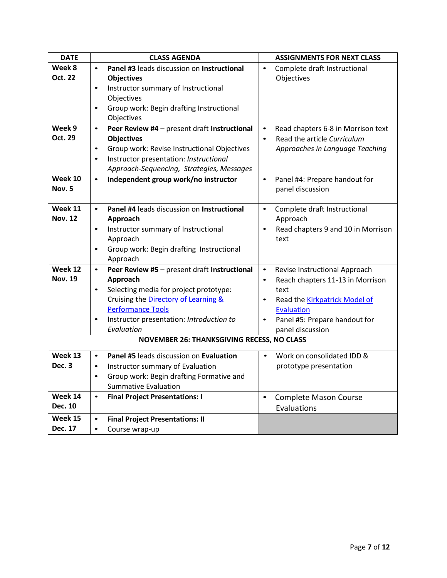| <b>DATE</b>    |           | <b>CLASS AGENDA</b>                               |           | <b>ASSIGNMENTS FOR NEXT CLASS</b>    |
|----------------|-----------|---------------------------------------------------|-----------|--------------------------------------|
| Week 8         | $\bullet$ | Panel #3 leads discussion on Instructional        | $\bullet$ | Complete draft Instructional         |
| Oct. 22        |           | <b>Objectives</b>                                 |           | Objectives                           |
|                | $\bullet$ | Instructor summary of Instructional               |           |                                      |
|                |           | Objectives                                        |           |                                      |
|                | $\bullet$ | Group work: Begin drafting Instructional          |           |                                      |
|                |           | Objectives                                        |           |                                      |
| Week 9         | $\bullet$ | Peer Review #4 - present draft Instructional      | $\bullet$ | Read chapters 6-8 in Morrison text   |
| Oct. 29        |           | <b>Objectives</b>                                 | $\bullet$ | Read the article Curriculum          |
|                | $\bullet$ | Group work: Revise Instructional Objectives       |           | Approaches in Language Teaching      |
|                | $\bullet$ | Instructor presentation: Instructional            |           |                                      |
|                |           | Approach-Sequencing, Strategies, Messages         |           |                                      |
| Week $10$      | $\bullet$ | Independent group work/no instructor              | $\bullet$ | Panel #4: Prepare handout for        |
| Nov. 5         |           |                                                   |           | panel discussion                     |
|                |           |                                                   |           |                                      |
| Week 11        | $\bullet$ | Panel #4 leads discussion on Instructional        | $\bullet$ | Complete draft Instructional         |
| <b>Nov. 12</b> |           | Approach                                          |           | Approach                             |
|                | $\bullet$ | Instructor summary of Instructional               | $\bullet$ | Read chapters 9 and 10 in Morrison   |
|                |           | Approach                                          |           | text                                 |
|                | $\bullet$ | Group work: Begin drafting Instructional          |           |                                      |
|                |           | Approach                                          |           |                                      |
| Week 12        | $\bullet$ | Peer Review #5 - present draft Instructional      | $\bullet$ | Revise Instructional Approach        |
| <b>Nov. 19</b> |           | Approach                                          | $\bullet$ | Reach chapters 11-13 in Morrison     |
|                | $\bullet$ | Selecting media for project prototype:            |           | text                                 |
|                |           | Cruising the Directory of Learning &              | $\bullet$ | Read the <b>Kirkpatrick Model of</b> |
|                |           | <b>Performance Tools</b>                          |           | <b>Evaluation</b>                    |
|                | $\bullet$ | Instructor presentation: Introduction to          | $\bullet$ | Panel #5: Prepare handout for        |
|                |           | Evaluation                                        |           | panel discussion                     |
|                |           | <b>NOVEMBER 26: THANKSGIVING RECESS, NO CLASS</b> |           |                                      |
| Week 13        | $\bullet$ | Panel #5 leads discussion on Evaluation           | $\bullet$ | Work on consolidated IDD &           |
| Dec. 3         | $\bullet$ | Instructor summary of Evaluation                  |           | prototype presentation               |
|                | $\bullet$ | Group work: Begin drafting Formative and          |           |                                      |
|                |           | <b>Summative Evaluation</b>                       |           |                                      |
| Week 14        | $\bullet$ | <b>Final Project Presentations: I</b>             | $\bullet$ | <b>Complete Mason Course</b>         |
| Dec. 10        |           |                                                   |           | Evaluations                          |
| Week 15        | $\bullet$ | <b>Final Project Presentations: II</b>            |           |                                      |
| Dec. 17        | $\bullet$ | Course wrap-up                                    |           |                                      |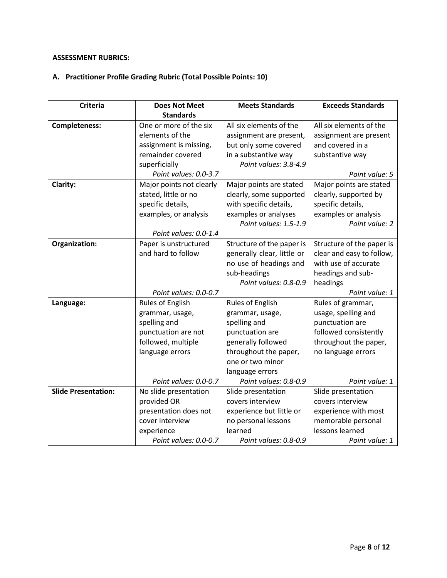# **ASSESSMENT RUBRICS:**

# **A. Practitioner Profile Grading Rubric (Total Possible Points: 10)**

| <b>Criteria</b>            | <b>Does Not Meet</b>     | <b>Meets Standards</b>     | <b>Exceeds Standards</b>  |
|----------------------------|--------------------------|----------------------------|---------------------------|
|                            | <b>Standards</b>         |                            |                           |
| <b>Completeness:</b>       | One or more of the six   | All six elements of the    | All six elements of the   |
|                            | elements of the          | assignment are present,    | assignment are present    |
|                            | assignment is missing,   | but only some covered      | and covered in a          |
|                            | remainder covered        | in a substantive way       | substantive way           |
|                            | superficially            | Point values: 3.8-4.9      |                           |
|                            | Point values: 0.0-3.7    |                            | Point value: 5            |
| Clarity:                   | Major points not clearly | Major points are stated    | Major points are stated   |
|                            | stated, little or no     | clearly, some supported    | clearly, supported by     |
|                            | specific details,        | with specific details,     | specific details,         |
|                            | examples, or analysis    | examples or analyses       | examples or analysis      |
|                            |                          | Point values: 1.5-1.9      | Point value: 2            |
|                            | Point values: 0.0-1.4    |                            |                           |
| Organization:              | Paper is unstructured    | Structure of the paper is  | Structure of the paper is |
|                            | and hard to follow       | generally clear, little or | clear and easy to follow, |
|                            |                          | no use of headings and     | with use of accurate      |
|                            |                          | sub-headings               | headings and sub-         |
|                            |                          | Point values: 0.8-0.9      | headings                  |
|                            | Point values: 0.0-0.7    |                            | Point value: 1            |
| Language:                  | Rules of English         | <b>Rules of English</b>    | Rules of grammar,         |
|                            | grammar, usage,          | grammar, usage,            | usage, spelling and       |
|                            | spelling and             | spelling and               | punctuation are           |
|                            | punctuation are not      | punctuation are            | followed consistently     |
|                            | followed, multiple       | generally followed         | throughout the paper,     |
|                            | language errors          | throughout the paper,      | no language errors        |
|                            |                          | one or two minor           |                           |
|                            |                          | language errors            |                           |
|                            | Point values: 0.0-0.7    | Point values: 0.8-0.9      | Point value: 1            |
| <b>Slide Presentation:</b> | No slide presentation    | Slide presentation         | Slide presentation        |
|                            | provided OR              | covers interview           | covers interview          |
|                            | presentation does not    | experience but little or   | experience with most      |
|                            | cover interview          | no personal lessons        | memorable personal        |
|                            | experience               | learned                    | lessons learned           |
|                            | Point values: 0.0-0.7    | Point values: 0.8-0.9      | Point value: 1            |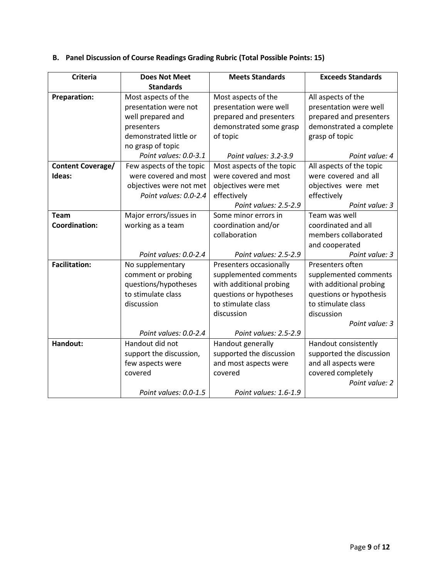| <b>Criteria</b>          | <b>Does Not Meet</b>     | <b>Meets Standards</b>    | <b>Exceeds Standards</b> |
|--------------------------|--------------------------|---------------------------|--------------------------|
|                          | <b>Standards</b>         |                           |                          |
| <b>Preparation:</b>      | Most aspects of the      | Most aspects of the       | All aspects of the       |
|                          | presentation were not    | presentation were well    | presentation were well   |
|                          | well prepared and        | prepared and presenters   | prepared and presenters  |
|                          | presenters               | demonstrated some grasp   | demonstrated a complete  |
|                          | demonstrated little or   | of topic                  | grasp of topic           |
|                          | no grasp of topic        |                           |                          |
|                          | Point values: 0.0-3.1    | Point values: 3.2-3.9     | Point value: 4           |
| <b>Content Coverage/</b> | Few aspects of the topic | Most aspects of the topic | All aspects of the topic |
| Ideas:                   | were covered and most    | were covered and most     | were covered and all     |
|                          | objectives were not met  | objectives were met       | objectives were met      |
|                          | Point values: 0.0-2.4    | effectively               | effectively              |
|                          |                          | Point values: 2.5-2.9     | Point value: 3           |
| <b>Team</b>              | Major errors/issues in   | Some minor errors in      | Team was well            |
| <b>Coordination:</b>     | working as a team        | coordination and/or       | coordinated and all      |
|                          |                          | collaboration             | members collaborated     |
|                          |                          |                           | and cooperated           |
|                          | Point values: 0.0-2.4    | Point values: 2.5-2.9     | Point value: 3           |
| <b>Facilitation:</b>     | No supplementary         | Presenters occasionally   | Presenters often         |
|                          | comment or probing       | supplemented comments     | supplemented comments    |
|                          | questions/hypotheses     | with additional probing   | with additional probing  |
|                          | to stimulate class       | questions or hypotheses   | questions or hypothesis  |
|                          | discussion               | to stimulate class        | to stimulate class       |
|                          |                          | discussion                | discussion               |
|                          |                          |                           | Point value: 3           |
|                          | Point values: 0.0-2.4    | Point values: 2.5-2.9     |                          |
| Handout:                 | Handout did not          | Handout generally         | Handout consistently     |
|                          | support the discussion,  | supported the discussion  | supported the discussion |
|                          | few aspects were         | and most aspects were     | and all aspects were     |
|                          | covered                  | covered                   | covered completely       |
|                          |                          |                           | Point value: 2           |
|                          | Point values: 0.0-1.5    | Point values: 1.6-1.9     |                          |

# **B. Panel Discussion of Course Readings Grading Rubric (Total Possible Points: 15)**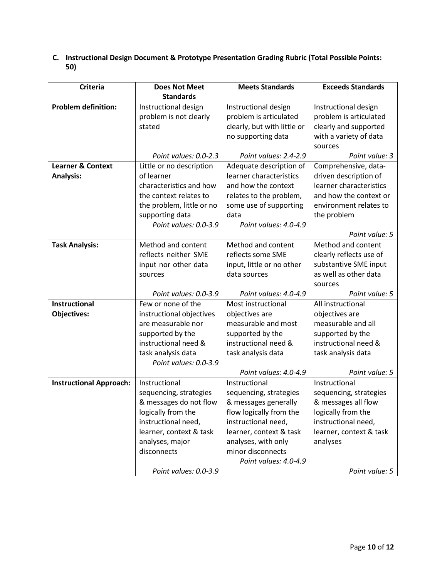## **C. Instructional Design Document & Prototype Presentation Grading Rubric (Total Possible Points: 50)**

| <b>Criteria</b>                | <b>Does Not Meet</b>      | <b>Meets Standards</b>      | <b>Exceeds Standards</b> |
|--------------------------------|---------------------------|-----------------------------|--------------------------|
|                                | <b>Standards</b>          |                             |                          |
| <b>Problem definition:</b>     | Instructional design      | Instructional design        | Instructional design     |
|                                | problem is not clearly    | problem is articulated      | problem is articulated   |
|                                | stated                    | clearly, but with little or | clearly and supported    |
|                                |                           | no supporting data          | with a variety of data   |
|                                |                           |                             | sources                  |
|                                | Point values: 0.0-2.3     | Point values: 2.4-2.9       | Point value: 3           |
| <b>Learner &amp; Context</b>   | Little or no description  | Adequate description of     | Comprehensive, data-     |
| <b>Analysis:</b>               | of learner                | learner characteristics     | driven description of    |
|                                | characteristics and how   | and how the context         | learner characteristics  |
|                                | the context relates to    | relates to the problem,     | and how the context or   |
|                                | the problem, little or no | some use of supporting      | environment relates to   |
|                                | supporting data           | data                        | the problem              |
|                                | Point values: 0.0-3.9     | Point values: 4.0-4.9       |                          |
|                                |                           |                             | Point value: 5           |
| <b>Task Analysis:</b>          | Method and content        | Method and content          | Method and content       |
|                                | reflects neither SME      | reflects some SME           | clearly reflects use of  |
|                                | input nor other data      | input, little or no other   | substantive SME input    |
|                                | sources                   | data sources                | as well as other data    |
|                                |                           |                             | sources                  |
|                                | Point values: 0.0-3.9     | Point values: 4.0-4.9       | Point value: 5           |
| Instructional                  | Few or none of the        | Most instructional          | All instructional        |
| <b>Objectives:</b>             | instructional objectives  | objectives are              | objectives are           |
|                                | are measurable nor        | measurable and most         | measurable and all       |
|                                | supported by the          | supported by the            | supported by the         |
|                                | instructional need &      | instructional need &        | instructional need &     |
|                                | task analysis data        | task analysis data          | task analysis data       |
|                                | Point values: 0.0-3.9     |                             |                          |
|                                |                           | Point values: 4.0-4.9       | Point value: 5           |
| <b>Instructional Approach:</b> | Instructional             | Instructional               | Instructional            |
|                                | sequencing, strategies    | sequencing, strategies      | sequencing, strategies   |
|                                | & messages do not flow    | & messages generally        | & messages all flow      |
|                                | logically from the        | flow logically from the     | logically from the       |
|                                | instructional need,       | instructional need,         | instructional need,      |
|                                | learner, context & task   | learner, context & task     | learner, context & task  |
|                                | analyses, major           | analyses, with only         | analyses                 |
|                                | disconnects               | minor disconnects           |                          |
|                                |                           | Point values: 4.0-4.9       |                          |
|                                | Point values: 0.0-3.9     |                             | Point value: 5           |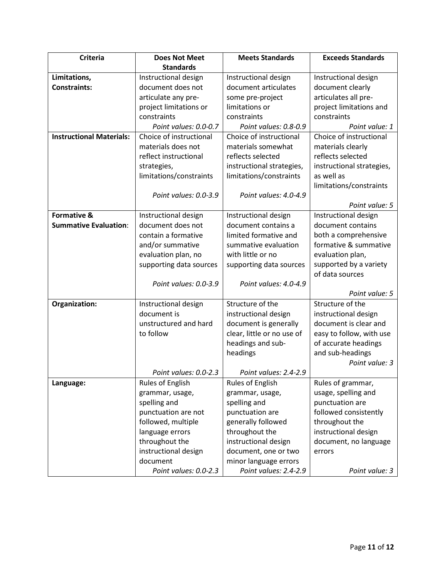| <b>Criteria</b>                 | <b>Does Not Meet</b>    | <b>Meets Standards</b>     | <b>Exceeds Standards</b>  |
|---------------------------------|-------------------------|----------------------------|---------------------------|
|                                 | <b>Standards</b>        |                            |                           |
| Limitations,                    | Instructional design    | Instructional design       | Instructional design      |
| <b>Constraints:</b>             | document does not       | document articulates       | document clearly          |
|                                 | articulate any pre-     | some pre-project           | articulates all pre-      |
|                                 | project limitations or  | limitations or             | project limitations and   |
|                                 | constraints             | constraints                | constraints               |
|                                 | Point values: 0.0-0.7   | Point values: 0.8-0.9      | Point value: 1            |
| <b>Instructional Materials:</b> | Choice of instructional | Choice of instructional    | Choice of instructional   |
|                                 | materials does not      | materials somewhat         | materials clearly         |
|                                 | reflect instructional   | reflects selected          | reflects selected         |
|                                 | strategies,             | instructional strategies,  | instructional strategies, |
|                                 | limitations/constraints | limitations/constraints    | as well as                |
|                                 |                         |                            | limitations/constraints   |
|                                 | Point values: 0.0-3.9   | Point values: 4.0-4.9      |                           |
|                                 |                         |                            | Point value: 5            |
| <b>Formative &amp;</b>          | Instructional design    | Instructional design       | Instructional design      |
| <b>Summative Evaluation:</b>    | document does not       | document contains a        | document contains         |
|                                 | contain a formative     | limited formative and      | both a comprehensive      |
|                                 | and/or summative        | summative evaluation       | formative & summative     |
|                                 | evaluation plan, no     | with little or no          | evaluation plan,          |
|                                 | supporting data sources | supporting data sources    | supported by a variety    |
|                                 |                         |                            | of data sources           |
|                                 | Point values: 0.0-3.9   | Point values: 4.0-4.9      |                           |
|                                 |                         |                            | Point value: 5            |
| Organization:                   | Instructional design    | Structure of the           | Structure of the          |
|                                 | document is             | instructional design       | instructional design      |
|                                 | unstructured and hard   | document is generally      | document is clear and     |
|                                 | to follow               | clear, little or no use of | easy to follow, with use  |
|                                 |                         | headings and sub-          | of accurate headings      |
|                                 |                         | headings                   | and sub-headings          |
|                                 | Point values: 0.0-2.3   | Point values: 2.4-2.9      | Point value: 3            |
| Language:                       | <b>Rules of English</b> | <b>Rules of English</b>    | Rules of grammar,         |
|                                 | grammar, usage,         | grammar, usage,            | usage, spelling and       |
|                                 | spelling and            | spelling and               | punctuation are           |
|                                 | punctuation are not     | punctuation are            | followed consistently     |
|                                 | followed, multiple      | generally followed         | throughout the            |
|                                 | language errors         | throughout the             | instructional design      |
|                                 | throughout the          | instructional design       | document, no language     |
|                                 | instructional design    | document, one or two       | errors                    |
|                                 | document                | minor language errors      |                           |
|                                 | Point values: 0.0-2.3   | Point values: 2.4-2.9      | Point value: 3            |